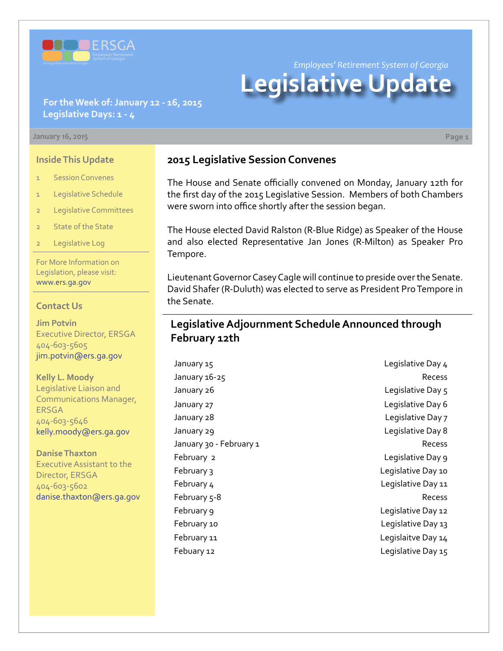

*Employees' Retirement System of Georgia*

# **Legislative Update**

## **For the Week of: January 12 - 16, 2015 Legislative Days: 1 - 4**

#### **January 16, 2015 Page 1**

### **Inside This Update**

- 1 Session Convenes
- 1 Legislative Schedule
- 2 Legislative Committees
- 2 State of the State
- 2 Legislative Log

For More Information on Legislation, please visit: [www.ers.ga.gov](http://www.ers.ga.gov/default.aspx)

#### **Contact Us**

**Jim Potvin** Executive Director, ERSGA 404-603-5605 jim.potvin@ers.ga.gov

**Kelly L. Moody** Legislative Liaison and Communications Manager, ERSGA 404-603-5646 kelly.moody@ers.ga.gov

**Danise Thaxton** Executive Assistant to the Director, ERSGA 404-603-5602 danise.thaxton@ers.ga.gov

# **2015 Legislative Session Convenes**

The House and Senate officially convened on Monday, January 12th for the first day of the 2015 Legislative Session. Members of both Chambers were sworn into office shortly after the session began.

The House elected David Ralston (R-Blue Ridge) as Speaker of the House and also elected Representative Jan Jones (R-Milton) as Speaker Pro Tempore.

Lieutenant Governor Casey Cagle will continue to preside over the Senate. David Shafer (R-Duluth) was elected to serve as President Pro Tempore in the Senate.

## **Legislative Adjournment Schedule Announced through February 12th**

January 15 Legislative Day 4 January 16-25 Recess January 26 **Legislative Day 5** January 27 Legislative Day 6 January 28 Legislative Day 7 January 29 Legislative Day 8 January 30 - February 1 American Control of the Recess February 2 Legislative Day 9 February 3 **Legislative Day 10** February 4 Legislative Day 11 February 5-8 Recess February 9 **Legislative Day 12** February 10 **Example 20** Legislative Day 13 February 11 Legislaitve Day 14 Febuary 12 Legislative Day 15